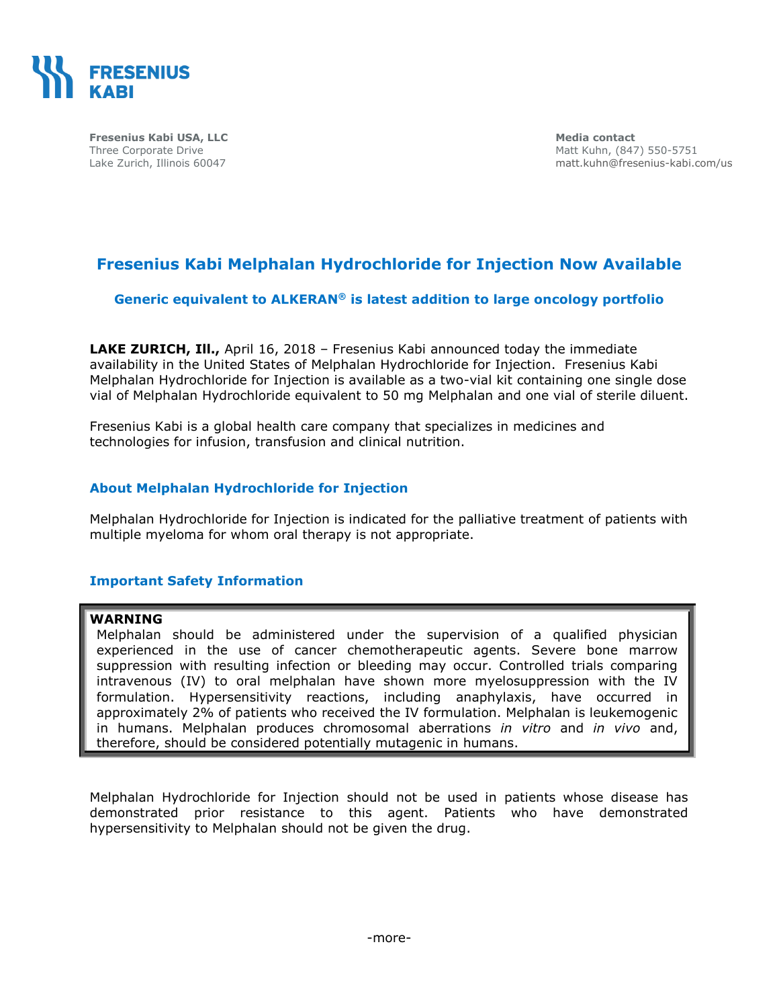

**Fresenius Kabi USA, LLC** Three Corporate Drive Lake Zurich, Illinois 60047

**Media contact** Matt Kuhn, (847) 550-5751 [matt.kuhn@fresenius-kabi.com/](mailto:matt.kuhn@fresenius-kabi.com)us

# **Fresenius Kabi Melphalan Hydrochloride for Injection Now Available**

### **Generic equivalent to ALKERAN® is latest addition to large oncology portfolio**

**LAKE ZURICH, Ill.,** April 16, 2018 – Fresenius Kabi announced today the immediate availability in the United States of Melphalan Hydrochloride for Injection. Fresenius Kabi Melphalan Hydrochloride for Injection is available as a two-vial kit containing one single dose vial of Melphalan Hydrochloride equivalent to 50 mg Melphalan and one vial of sterile diluent.

Fresenius Kabi is a global health care company that specializes in medicines and technologies for infusion, transfusion and clinical nutrition.

### **About Melphalan Hydrochloride for Injection**

Melphalan Hydrochloride for Injection is indicated for the palliative treatment of patients with multiple myeloma for whom oral therapy is not appropriate.

### **Important Safety Information**

### **WARNING**

Melphalan should be administered under the supervision of a qualified physician experienced in the use of cancer chemotherapeutic agents. Severe bone marrow suppression with resulting infection or bleeding may occur. Controlled trials comparing intravenous (IV) to oral melphalan have shown more myelosuppression with the IV formulation. Hypersensitivity reactions, including anaphylaxis, have occurred in approximately 2% of patients who received the IV formulation. Melphalan is leukemogenic in humans. Melphalan produces chromosomal aberrations *in vitro* and *in vivo* and, therefore, should be considered potentially mutagenic in humans.

Melphalan Hydrochloride for Injection should not be used in patients whose disease has demonstrated prior resistance to this agent. Patients who have demonstrated hypersensitivity to Melphalan should not be given the drug.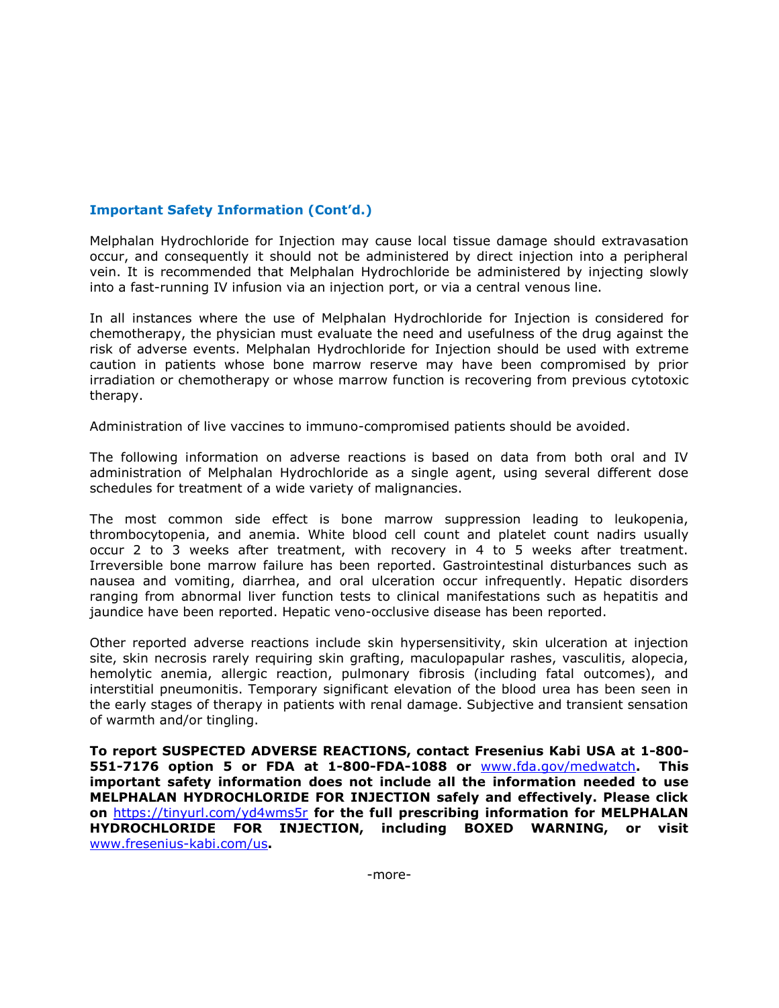## **Important Safety Information (Cont'd.)**

Melphalan Hydrochloride for Injection may cause local tissue damage should extravasation occur, and consequently it should not be administered by direct injection into a peripheral vein. It is recommended that Melphalan Hydrochloride be administered by injecting slowly into a fast-running IV infusion via an injection port, or via a central venous line.

In all instances where the use of Melphalan Hydrochloride for Injection is considered for chemotherapy, the physician must evaluate the need and usefulness of the drug against the risk of adverse events. Melphalan Hydrochloride for Injection should be used with extreme caution in patients whose bone marrow reserve may have been compromised by prior irradiation or chemotherapy or whose marrow function is recovering from previous cytotoxic therapy.

Administration of live vaccines to immuno-compromised patients should be avoided.

The following information on adverse reactions is based on data from both oral and IV administration of Melphalan Hydrochloride as a single agent, using several different dose schedules for treatment of a wide variety of malignancies.

The most common side effect is bone marrow suppression leading to leukopenia, thrombocytopenia, and anemia. White blood cell count and platelet count nadirs usually occur 2 to 3 weeks after treatment, with recovery in 4 to 5 weeks after treatment. Irreversible bone marrow failure has been reported. Gastrointestinal disturbances such as nausea and vomiting, diarrhea, and oral ulceration occur infrequently. Hepatic disorders ranging from abnormal liver function tests to clinical manifestations such as hepatitis and jaundice have been reported. Hepatic veno-occlusive disease has been reported.

Other reported adverse reactions include skin hypersensitivity, skin ulceration at injection site, skin necrosis rarely requiring skin grafting, maculopapular rashes, vasculitis, alopecia, hemolytic anemia, allergic reaction, pulmonary fibrosis (including fatal outcomes), and interstitial pneumonitis. Temporary significant elevation of the blood urea has been seen in the early stages of therapy in patients with renal damage. Subjective and transient sensation of warmth and/or tingling.

**To report SUSPECTED ADVERSE REACTIONS, contact Fresenius Kabi USA at 1-800- 551-7176 option 5 or FDA at 1-800-FDA-1088 or** [www.fda.gov/medwatch](../AppData/Local/Microsoft/Windows/Temporary%20Internet%20Files/Content.Outlook/N0GBP5FB/www.fda.gov/medwatch)**. This important safety information does not include all the information needed to use MELPHALAN HYDROCHLORIDE FOR INJECTION safely and effectively. Please click on** <https://tinyurl.com/yd4wms5r> **for the full prescribing information for MELPHALAN HYDROCHLORIDE FOR INJECTION, including BOXED WARNING, or visit**  [www.fresenius-kabi.com/us](../AppData/Local/Microsoft/Windows/Temporary%20Internet%20Files/Content.Outlook/N0GBP5FB/www.fresenius-kabi.com/us)**.**